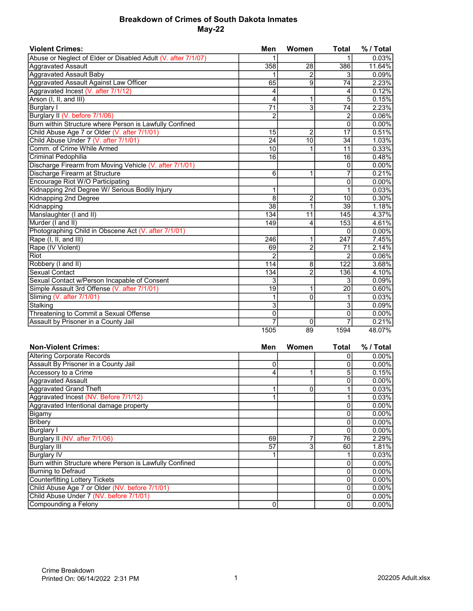## Breakdown of Crimes of South Dakota Inmates May-22

| <b>Violent Crimes:</b>                                        | Men             | Women           | <b>Total</b>    | % / Total |
|---------------------------------------------------------------|-----------------|-----------------|-----------------|-----------|
| Abuse or Neglect of Elder or Disabled Adult (V. after 7/1/07) | 1               |                 |                 | 0.03%     |
| <b>Aggravated Assault</b>                                     | 358             | 28              | 386             | 11.64%    |
| <b>Aggravated Assault Baby</b>                                |                 | 2               | 3               | 0.09%     |
| Aggravated Assault Against Law Officer                        | 65              | 9               | $\overline{74}$ | 2.23%     |
| Aggravated Incest (V. after 7/1/12)                           | 4               |                 | 4               | 0.12%     |
| Arson (I, II, and III)                                        | 4               | 1               | 5               | 0.15%     |
| <b>Burglary I</b>                                             | $\overline{71}$ | $\overline{3}$  | 74              | 2.23%     |
| Burglary II (V. before 7/1/06)                                | $\overline{2}$  |                 | 2               | 0.06%     |
| Burn within Structure where Person is Lawfully Confined       |                 |                 | $\mathbf 0$     | 0.00%     |
| Child Abuse Age 7 or Older (V. after 7/1/01)                  | 15              | $\overline{2}$  | $\overline{17}$ | 0.51%     |
| Child Abuse Under 7 (V. after 7/1/01)                         | $\overline{24}$ | 10              | 34              | 1.03%     |
| Comm. of Crime While Armed                                    | 10              | 1               | 11              | 0.33%     |
| Criminal Pedophilia                                           | 16              |                 | 16              | 0.48%     |
| Discharge Firearm from Moving Vehicle (V. after 7/1/01)       |                 |                 | $\mathbf{0}$    | 0.00%     |
| Discharge Firearm at Structure                                | 6               | 1               | 7               | 0.21%     |
| <b>Encourage Riot W/O Participating</b>                       |                 |                 | 0               | 0.00%     |
| Kidnapping 2nd Degree W/ Serious Bodily Injury                | 1               |                 | 1               | 0.03%     |
| Kidnapping 2nd Degree                                         | 8               | $\overline{c}$  | 10              | 0.30%     |
| Kidnapping                                                    | 38              | 1               | 39              | 1.18%     |
| Manslaughter (I and II)                                       | 134             | $\overline{11}$ | 145             | 4.37%     |
| Murder (I and II)                                             | 149             | 4               | 153             | 4.61%     |
| Photographing Child in Obscene Act (V. after 7/1/01)          |                 |                 | 0               | 0.00%     |
| Rape (I, II, and III)                                         | 246             | 1               | 247             | 7.45%     |
| Rape (IV Violent)                                             | 69              | $\overline{2}$  | 71              | 2.14%     |
| Riot                                                          | $\overline{2}$  |                 | 2               | 0.06%     |
| Robbery (I and II)                                            | 114             | 8               | 122             | 3.68%     |
| Sexual Contact                                                | 134             | $\overline{2}$  | 136             | 4.10%     |
| Sexual Contact w/Person Incapable of Consent                  | 3               |                 | 3               | 0.09%     |
| Simple Assault 3rd Offense (V. after 7/1/01)                  | $\overline{19}$ | 1               | $\overline{20}$ | 0.60%     |
| Sliming (V. after 7/1/01)                                     | 1               | $\overline{0}$  |                 | 0.03%     |
| Stalking                                                      | $\overline{3}$  |                 | 3               | 0.09%     |
| Threatening to Commit a Sexual Offense                        | $\mathbf 0$     |                 | 0               | $0.00\%$  |
| Assault by Prisoner in a County Jail                          | $\overline{7}$  | $\Omega$        | 7               | 0.21%     |
|                                                               | 1505            | 89              | 1594            | 48.07%    |

| <b>Non-Violent Crimes:</b>                              | Men | Women | Total | % / Total |
|---------------------------------------------------------|-----|-------|-------|-----------|
| <b>Altering Corporate Records</b>                       |     |       |       | $0.00\%$  |
| Assault By Prisoner in a County Jail                    | 0   |       |       | $0.00\%$  |
| Accessory to a Crime                                    | 4   |       |       | 0.15%     |
| Aggravated Assault                                      |     |       |       | $0.00\%$  |
| Aggravated Grand Theft                                  |     | 0     |       | 0.03%     |
| Aggravated Incest (NV. Before 7/1/12)                   |     |       |       | 0.03%     |
| Aggravated Intentional damage property                  |     |       |       | $0.00\%$  |
| <b>Bigamy</b>                                           |     |       |       | 0.00%     |
| <b>Bribery</b>                                          |     |       |       | $0.00\%$  |
| <b>Burglary I</b>                                       |     |       |       | $0.00\%$  |
| Burglary II (NV. after 7/1/06)                          | 69  |       | 76    | 2.29%     |
| Burglary III                                            | 57  | 3     | 60    | 1.81%     |
| Burglary IV                                             |     |       |       | 0.03%     |
| Burn within Structure where Person is Lawfully Confined |     |       |       | $0.00\%$  |
| <b>Burning to Defraud</b>                               |     |       |       | $0.00\%$  |
| <b>Counterfitting Lottery Tickets</b>                   |     |       |       | $0.00\%$  |
| Child Abuse Age 7 or Older (NV. before 7/1/01)          |     |       |       | $0.00\%$  |
| Child Abuse Under 7 (NV. before 7/1/01)                 |     |       |       | $0.00\%$  |
| Compounding a Felony                                    | 0   |       |       | $0.00\%$  |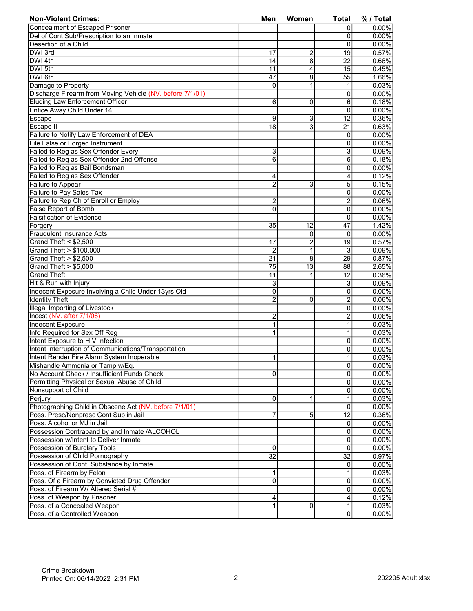| <b>Non-Violent Crimes:</b>                                | Men             | Women           | <b>Total</b>    | % / Total         |
|-----------------------------------------------------------|-----------------|-----------------|-----------------|-------------------|
| <b>Concealment of Escaped Prisoner</b>                    |                 |                 | 0               | $0.00\%$          |
| Del of Cont Sub/Prescription to an Inmate                 |                 |                 | 0               | $0.00\%$          |
| Desertion of a Child                                      |                 |                 | 0               | 0.00%             |
| DWI 3rd                                                   | 17              | 2               | 19              | 0.57%             |
| DWI 4th                                                   | 14              | $\overline{8}$  | 22              | 0.66%             |
| DWI 5th                                                   | $\overline{11}$ | 4               | 15              | 0.45%             |
| DWI 6th                                                   | 47              | 8               | 55              | 1.66%             |
| Damage to Property                                        | $\mathbf 0$     | 1               | 1               | 0.03%             |
| Discharge Firearm from Moving Vehicle (NV. before 7/1/01) |                 |                 | 0               | 0.00%             |
| <b>Eluding Law Enforcement Officer</b>                    | 6               | 0               | 6               | 0.18%             |
| Entice Away Child Under 14                                |                 |                 | 0               | 0.00%             |
| Escape                                                    | 9               | $\overline{3}$  | 12              | 0.36%             |
| Escape II                                                 | 18              | $\overline{3}$  | 21              | 0.63%             |
| Failure to Notify Law Enforcement of DEA                  |                 |                 | 0               | 0.00%             |
| File False or Forged Instrument                           |                 |                 | 0               | 0.00%             |
| Failed to Reg as Sex Offender Every                       | 3               |                 | 3               | 0.09%             |
| Failed to Reg as Sex Offender 2nd Offense                 | 6               |                 | 6               | 0.18%             |
| Failed to Reg as Bail Bondsman                            |                 |                 | 0               | 0.00%             |
| Failed to Reg as Sex Offender                             |                 |                 | 4               | 0.12%             |
|                                                           | 4               |                 |                 | 0.15%             |
| Failure to Appear                                         | $\overline{2}$  | 3               | 5               | 0.00%             |
| <b>Failure to Pay Sales Tax</b>                           |                 |                 | 0               |                   |
| Failure to Rep Ch of Enroll or Employ                     | 2               |                 | 2               | 0.06%             |
| <b>False Report of Bomb</b>                               | $\mathbf 0$     |                 | 0               | 0.00%             |
| <b>Falsification of Evidence</b>                          |                 |                 | 0               | 0.00%             |
| Forgery                                                   | 35              | $\overline{12}$ | 47              | 1.42%             |
| <b>Fraudulent Insurance Acts</b>                          |                 | 0               | 0               | 0.00%             |
| Grand Theft $<$ \$2,500                                   | 17              | $\overline{2}$  | 19              | 0.57%             |
| Grand Theft > \$100,000                                   | $\overline{2}$  | $\mathbf{1}$    | $\overline{3}$  | 0.09%             |
| Grand Theft > \$2,500                                     | $\overline{21}$ | $\overline{8}$  | $\overline{29}$ | 0.87%             |
| Grand Theft > \$5,000                                     | 75              | $\overline{13}$ | 88              | 2.65%             |
| <b>Grand Theft</b>                                        | 11              | 1               | 12              | 0.36%             |
| Hit & Run with Injury                                     | 3               |                 | 3               | 0.09%             |
| Indecent Exposure Involving a Child Under 13yrs Old       | $\overline{0}$  |                 | 0               | 0.00%             |
| <b>Identity Theft</b>                                     | $\overline{c}$  | 0               | 2               | 0.06%             |
| <b>Illegal Importing of Livestock</b>                     |                 |                 | 0               | 0.00%             |
| Incest (NV. after 7/1/06)                                 | 2               |                 | 2               | 0.06%             |
| <b>Indecent Exposure</b>                                  | 1               |                 | 1               | 0.03%             |
| Info Required for Sex Off Reg                             | 1               |                 | 1               | 0.03%             |
| Intent Exposure to HIV Infection                          |                 |                 | 0               | $0.00\%$          |
| Intent Interruption of Communications/Transportation      |                 |                 | 0               | 0.00%             |
| Intent Render Fire Alarm System Inoperable                | $\mathbf{1}$    |                 | 1               | 0.03%             |
| Mishandle Ammonia or Tamp w/Eq.                           |                 |                 | $\overline{0}$  | $0.00\%$          |
| No Account Check / Insufficient Funds Check               | 0               |                 | 0               | $0.00\%$          |
| Permitting Physical or Sexual Abuse of Child              |                 |                 | 0               | $0.00\%$          |
| Nonsupport of Child                                       |                 |                 | 0               | $0.00\%$          |
| Perjury                                                   | 0               | 1               | 1               | 0.03%             |
| Photographing Child in Obscene Act (NV. before 7/1/01)    |                 |                 | 0               | $0.00\%$          |
| Poss. Presc/Nonpresc Cont Sub in Jail                     | 7               | 5               | $\overline{12}$ | $0.36\%$          |
| Poss. Alcohol or MJ in Jail                               |                 |                 | $\Omega$        | $0.00\%$          |
| Possession Contraband by and Inmate /ALCOHOL              |                 |                 | 0               | $0.00\%$          |
| Possession w/Intent to Deliver Inmate                     |                 |                 | 0               | $0.00\%$          |
| Possession of Burglary Tools                              | 0               |                 | 0               | 0.00%             |
| Possession of Child Pornography                           | $\overline{32}$ |                 | $\overline{32}$ | 0.97%             |
| Possession of Cont. Substance by Inmate                   |                 |                 | 0               | 0.00%             |
| Poss. of Firearm by Felon                                 | 1               |                 | 1               | 0.03%             |
| Poss. Of a Firearm by Convicted Drug Offender             | 0               |                 | 0               | 0.00%             |
| Poss. of Firearm W/ Altered Serial #                      |                 |                 |                 |                   |
| Poss. of Weapon by Prisoner                               |                 |                 | $\overline{0}$  | $0.00\%$<br>0.12% |
| Poss. of a Concealed Weapon                               | 4               |                 | 4               |                   |
|                                                           | 1               | 0               | 1               | 0.03%             |
| Poss. of a Controlled Weapon                              |                 |                 | 0               | 0.00%             |